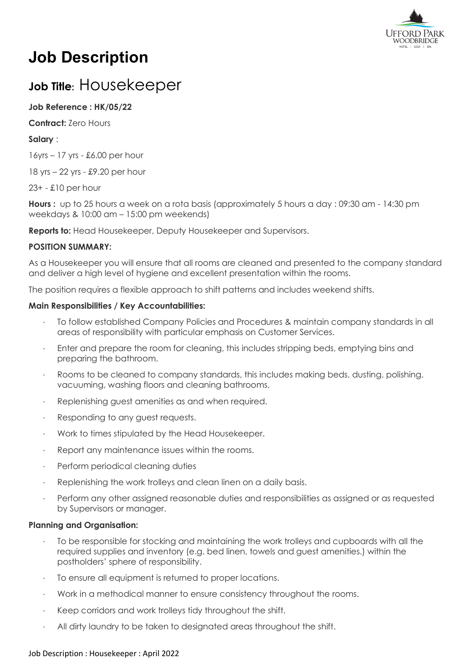

# **Job Description**

## **Job Title:** Housekeeper

### **Job Reference : HK/05/22**

**Contract:** Zero Hours

#### **Salary** :

16yrs – 17 yrs - £6.00 per hour

18 yrs – 22 yrs - £9.20 per hour

23+ - £10 per hour

**Hours :** up to 25 hours a week on a rota basis (approximately 5 hours a day : 09:30 am - 14:30 pm weekdays & 10:00 am – 15:00 pm weekends)

**Reports to:** Head Housekeeper, Deputy Housekeeper and Supervisors.

#### **POSITION SUMMARY:**

As a Housekeeper you will ensure that all rooms are cleaned and presented to the company standard and deliver a high level of hygiene and excellent presentation within the rooms.

The position requires a flexible approach to shift patterns and includes weekend shifts.

#### **Main Responsibilities / Key Accountabilities:**

- · To follow established Company Policies and Procedures & maintain company standards in all areas of responsibility with particular emphasis on Customer Services.
- Enter and prepare the room for cleaning, this includes stripping beds, emptying bins and preparing the bathroom.
- · Rooms to be cleaned to company standards, this includes making beds, dusting, polishing, vacuuming, washing floors and cleaning bathrooms.
- Replenishing guest amenities as and when required.
- Responding to any guest requests.
- · Work to times stipulated by the Head Housekeeper.
- Report any maintenance issues within the rooms.
- Perform periodical cleaning duties
- Replenishing the work trolleys and clean linen on a daily basis.
- · Perform any other assigned reasonable duties and responsibilities as assigned or as requested by Supervisors or manager.

#### **Planning and Organisation:**

- · To be responsible for stocking and maintaining the work trolleys and cupboards with all the required supplies and inventory (e.g. bed linen, towels and guest amenities.) within the postholders' sphere of responsibility.
- To ensure all equipment is returned to proper locations.
- · Work in a methodical manner to ensure consistency throughout the rooms.
- Keep corridors and work trolleys tidy throughout the shift.
- All dirty laundry to be taken to designated areas throughout the shift.

#### Job Description : Housekeeper : April 2022